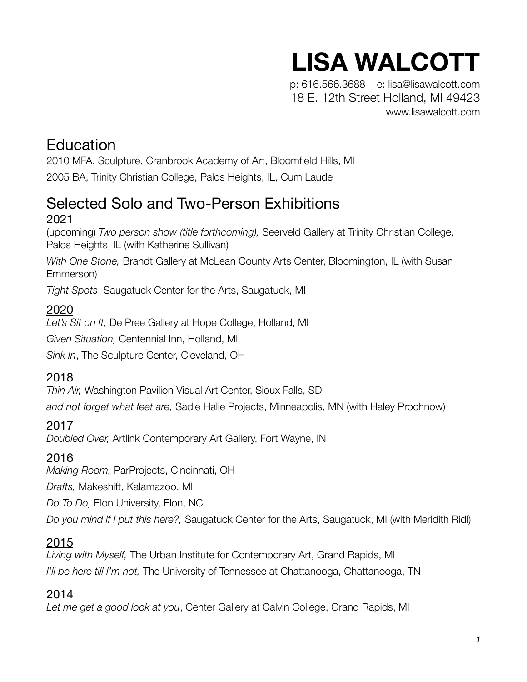# **LISA WALCOTT**

p: 616.566.3688 e: lisa@lisawalcott.com 18 E. 12th Street Holland, MI 49423 [www.lisawalcott.com](http://www.lisawalcott.com)

# **Education**

2010 MFA, Sculpture, Cranbrook Academy of Art, Bloomfield Hills, MI 2005 BA, Trinity Christian College, Palos Heights, IL, Cum Laude

# Selected Solo and Two-Person Exhibitions 2021

(upcoming) *Two person show (title forthcoming),* Seerveld Gallery at Trinity Christian College, Palos Heights, IL (with Katherine Sullivan)

*With One Stone,* Brandt Gallery at McLean County Arts Center, Bloomington, IL (with Susan Emmerson)

*Tight Spots*, Saugatuck Center for the Arts, Saugatuck, MI

### 2020

*Let's Sit on It,* De Pree Gallery at Hope College, Holland, MI *Given Situation,* Centennial Inn, Holland, MI *Sink In*, The Sculpture Center, Cleveland, OH

# 2018

*Thin Air,* Washington Pavilion Visual Art Center, Sioux Falls, SD *and not forget what feet are,* Sadie Halie Projects, Minneapolis, MN (with Haley Prochnow)

#### 2017

*Doubled Over,* Artlink Contemporary Art Gallery, Fort Wayne, IN

# 2016

*Making Room,* ParProjects, Cincinnati, OH

*Drafts,* Makeshift, Kalamazoo, MI

*Do To Do,* Elon University, Elon, NC

*Do you mind if I put this here?,* Saugatuck Center for the Arts, Saugatuck, MI (with Meridith Ridl)

# 2015

*Living with Myself,* The Urban Institute for Contemporary Art, Grand Rapids, MI *I'll be here till I'm not,* The University of Tennessee at Chattanooga, Chattanooga, TN

# 2014

*Let me get a good look at you*, Center Gallery at Calvin College, Grand Rapids, MI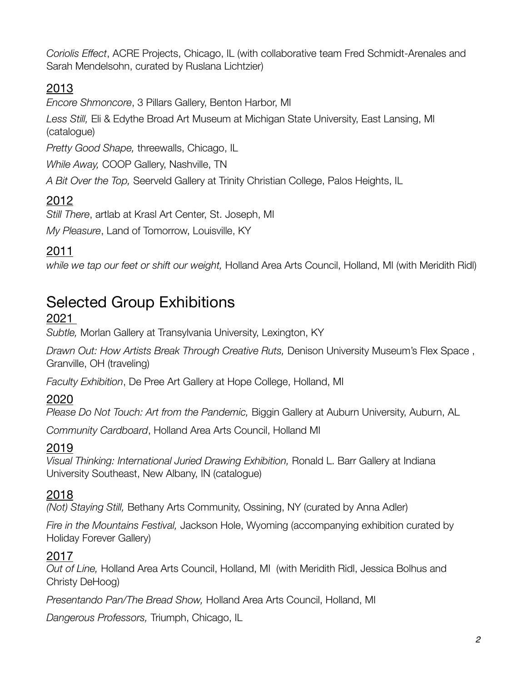*Coriolis Effect*, ACRE Projects, Chicago, IL (with collaborative team Fred Schmidt-Arenales and Sarah Mendelsohn, curated by Ruslana Lichtzier)

# 2013

*Encore Shmoncore*, 3 Pillars Gallery, Benton Harbor, MI

*Less Still,* Eli & Edythe Broad Art Museum at Michigan State University, East Lansing, MI (catalogue)

*Pretty Good Shape,* threewalls, Chicago, IL

*While Away,* COOP Gallery, Nashville, TN

*A Bit Over the Top,* Seerveld Gallery at Trinity Christian College, Palos Heights, IL

### 2012

*Still There*, artlab at Krasl Art Center, St. Joseph, MI

*My Pleasure*, Land of Tomorrow, Louisville, KY

### 2011

*while we tap our feet or shift our weight,* Holland Area Arts Council, Holland, MI (with Meridith Ridl)

# Selected Group Exhibitions

#### 2021

*Subtle,* Morlan Gallery at Transylvania University, Lexington, KY

*Drawn Out: How Artists Break Through Creative Ruts,* Denison University Museum's Flex Space , Granville, OH (traveling)

*Faculty Exhibition*, De Pree Art Gallery at Hope College, Holland, MI

#### 2020

*Please Do Not Touch: Art from the Pandemic,* Biggin Gallery at Auburn University, Auburn, AL

*Community Cardboard*, Holland Area Arts Council, Holland MI

#### 2019

*Visual Thinking: International Juried Drawing Exhibition,* Ronald L. Barr Gallery at Indiana University Southeast, New Albany, IN (catalogue)

#### 2018

*(Not) Staying Still,* Bethany Arts Community, Ossining, NY (curated by Anna Adler)

*Fire in the Mountains Festival,* Jackson Hole, Wyoming (accompanying exhibition curated by Holiday Forever Gallery)

#### 2017

*Out of Line,* Holland Area Arts Council, Holland, MI (with Meridith Ridl, Jessica Bolhus and Christy DeHoog)

*Presentando Pan/The Bread Show,* Holland Area Arts Council, Holland, MI

*Dangerous Professors,* Triumph, Chicago, IL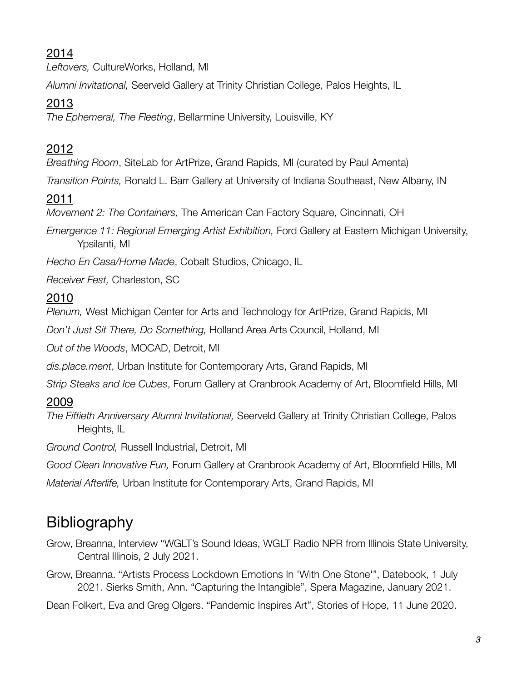# 2014

*Leftovers,* CultureWorks, Holland, MI

*Alumni Invitational,* Seerveld Gallery at Trinity Christian College, Palos Heights, IL

# 2013

*The Ephemeral, The Fleeting*, Bellarmine University, Louisville, KY

# 2012

*Breathing Room*, SiteLab for ArtPrize, Grand Rapids, MI (curated by Paul Amenta)

*Transition Points,* Ronald L. Barr Gallery at University of Indiana Southeast, New Albany, IN

# 2011

*Movement 2: The Containers,* The American Can Factory Square, Cincinnati, OH

*Emergence 11: Regional Emerging Artist Exhibition,* Ford Gallery at Eastern Michigan University, Ypsilanti, MI

*Hecho En Casa/Home Made*, Cobalt Studios, Chicago, IL

*Receiver Fest,* Charleston, SC

### 2010

*Plenum,* West Michigan Center for Arts and Technology for ArtPrize, Grand Rapids, MI

*Don't Just Sit There, Do Something,* Holland Area Arts Council, Holland, MI

*Out of the Woods*, MOCAD, Detroit, MI

*dis.place.ment*, Urban Institute for Contemporary Arts, Grand Rapids, MI

*Strip Steaks and Ice Cubes*, Forum Gallery at Cranbrook Academy of Art, Bloomfield Hills, MI

#### 2009

*The Fiftieth Anniversary Alumni Invitational,* Seerveld Gallery at Trinity Christian College, Palos Heights, IL

*Ground Control,* Russell Industrial, Detroit, MI

*Good Clean Innovative Fun,* Forum Gallery at Cranbrook Academy of Art, Bloomfield Hills, MI

*Material Afterlife,* Urban Institute for Contemporary Arts, Grand Rapids, MI

# Bibliography

- Grow, Breanna, Interview "WGLT's Sound Ideas, WGLT Radio NPR from Illinois State University, Central Illinois, 2 July 2021.
- Grow, Breanna. "Artists Process Lockdown Emotions In 'With One Stone'", Datebook, 1 July 2021. Sierks Smith, Ann. "Capturing the Intangible", Spera Magazine, January 2021.

Dean Folkert, Eva and Greg Olgers. "Pandemic Inspires Art", Stories of Hope, 11 June 2020.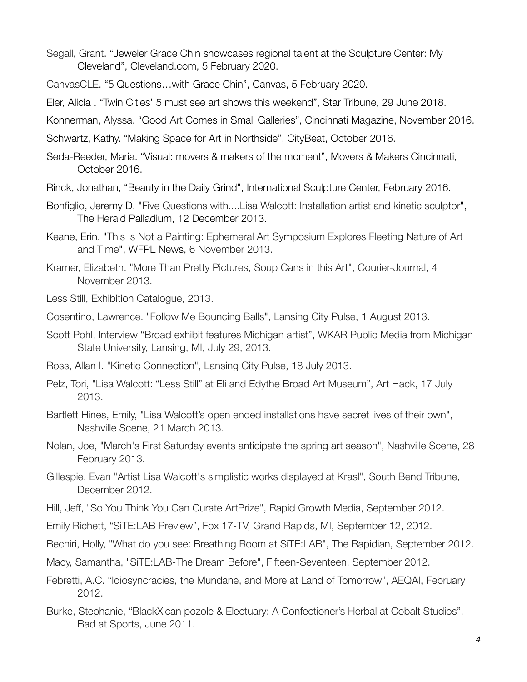- Segall, Grant. "Jeweler Grace Chin showcases regional talent at the Sculpture Center: My Cleveland", Cleveland.com, 5 February 2020.
- CanvasCLE. "5 Questions…with Grace Chin", Canvas, 5 February 2020.
- Eler, Alicia . "Twin Cities' 5 must see art shows this weekend", Star Tribune, 29 June 2018.
- Konnerman, Alyssa. "Good Art Comes in Small Galleries", Cincinnati Magazine, November 2016.
- Schwartz, Kathy. "Making Space for Art in Northside", CityBeat, October 2016.
- Seda-Reeder, Maria. "Visual: movers & makers of the moment", Movers & Makers Cincinnati, October 2016.
- Rinck, Jonathan, "Beauty in the Daily Grind", International Sculpture Center, February 2016.
- Bonfiglio, Jeremy D. "Five Questions with....Lisa Walcott: Installation artist and kinetic sculptor", The Herald Palladium, 12 December 2013.
- Keane, Erin. "This Is Not a Painting: Ephemeral Art Symposium Explores Fleeting Nature of Art and Time", WFPL News, 6 November 2013.
- Kramer, Elizabeth. "More Than Pretty Pictures, Soup Cans in this Art", Courier-Journal, 4 November 2013.
- Less Still, Exhibition Catalogue, 2013.
- Cosentino, Lawrence. "Follow Me Bouncing Balls", Lansing City Pulse, 1 August 2013.
- Scott Pohl, Interview "Broad exhibit features Michigan artist", WKAR Public Media from Michigan State University, Lansing, MI, July 29, 2013.
- Ross, Allan I. "Kinetic Connection", Lansing City Pulse, 18 July 2013.
- Pelz, Tori, "Lisa Walcott: "Less Still" at Eli and Edythe Broad Art Museum", Art Hack, 17 July 2013.
- Bartlett Hines, Emily, "Lisa Walcott's open ended installations have secret lives of their own", Nashville Scene, 21 March 2013.
- Nolan, Joe, "March's First Saturday events anticipate the spring art season", Nashville Scene, 28 February 2013.
- Gillespie, Evan "Artist Lisa Walcott's simplistic works displayed at Krasl", South Bend Tribune, December 2012.
- Hill, Jeff, "So You Think You Can Curate ArtPrize", Rapid Growth Media, September 2012.
- Emily Richett, "SiTE:LAB Preview", Fox 17-TV, Grand Rapids, MI, September 12, 2012.
- Bechiri, Holly, "What do you see: Breathing Room at SiTE:LAB", The Rapidian, September 2012.
- Macy, Samantha, "SiTE:LAB-The Dream Before", Fifteen-Seventeen, September 2012.
- Febretti, A.C. "Idiosyncracies, the Mundane, and More at Land of Tomorrow", AEQAI, February 2012.
- Burke, Stephanie, "BlackXican pozole & Electuary: A Confectioner's Herbal at Cobalt Studios", Bad at Sports, June 2011.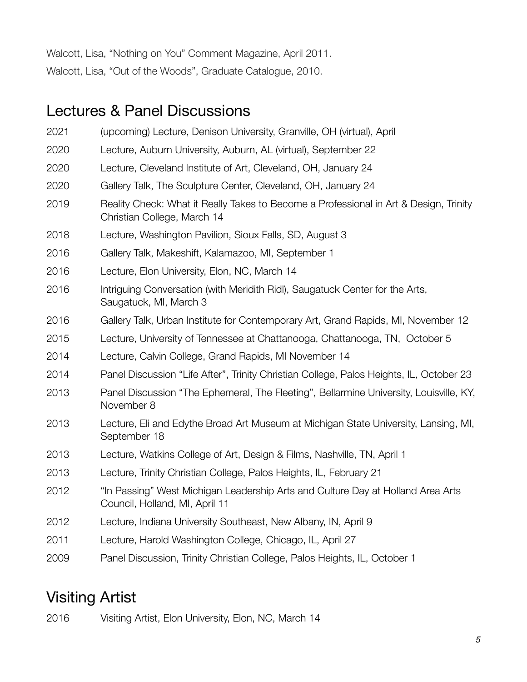Walcott, Lisa, "Nothing on You" Comment Magazine, April 2011. Walcott, Lisa, "Out of the Woods", Graduate Catalogue, 2010.

# Lectures & Panel Discussions

- 2021 (upcoming) Lecture, Denison University, Granville, OH (virtual), April
- 2020 Lecture, Auburn University, Auburn, AL (virtual), September 22
- 2020 Lecture, Cleveland Institute of Art, Cleveland, OH, January 24
- 2020 Gallery Talk, The Sculpture Center, Cleveland, OH, January 24
- 2019 Reality Check: What it Really Takes to Become a Professional in Art & Design, Trinity Christian College, March 14
- 2018 Lecture, Washington Pavilion, Sioux Falls, SD, August 3
- 2016 Gallery Talk, Makeshift, Kalamazoo, MI, September 1
- 2016 Lecture, Elon University, Elon, NC, March 14
- 2016 Intriguing Conversation (with Meridith Ridl), Saugatuck Center for the Arts, Saugatuck, MI, March 3
- 2016 Gallery Talk, Urban Institute for Contemporary Art, Grand Rapids, MI, November 12
- 2015 Lecture, University of Tennessee at Chattanooga, Chattanooga, TN, October 5
- 2014 Lecture, Calvin College, Grand Rapids, MI November 14
- 2014 Panel Discussion "Life After", Trinity Christian College, Palos Heights, IL, October 23
- 2013 Panel Discussion "The Ephemeral, The Fleeting", Bellarmine University, Louisville, KY, November 8
- 2013 Lecture, Eli and Edythe Broad Art Museum at Michigan State University, Lansing, MI, September 18
- 2013 Lecture, Watkins College of Art, Design & Films, Nashville, TN, April 1
- 2013 Lecture, Trinity Christian College, Palos Heights, IL, February 21
- 2012 "In Passing" West Michigan Leadership Arts and Culture Day at Holland Area Arts Council, Holland, MI, April 11
- 2012 Lecture, Indiana University Southeast, New Albany, IN, April 9
- 2011 Lecture, Harold Washington College, Chicago, IL, April 27
- 2009 Panel Discussion, Trinity Christian College, Palos Heights, IL, October 1

# Visiting Artist

2016 Visiting Artist, Elon University, Elon, NC, March 14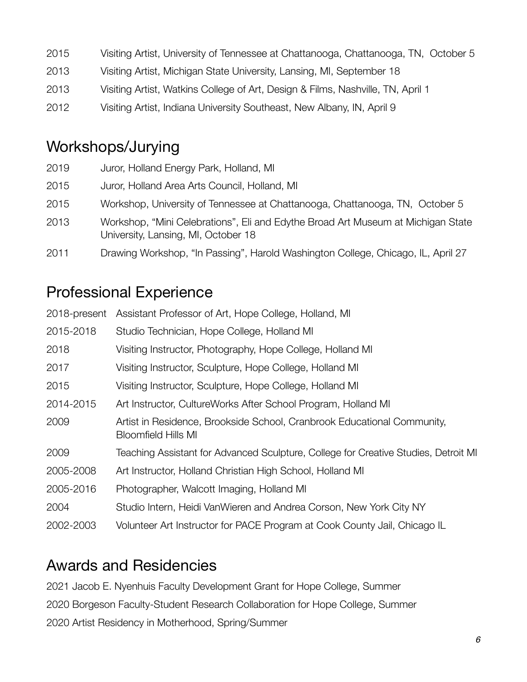2015 Visiting Artist, University of Tennessee at Chattanooga, Chattanooga, TN, October 5 2013 Visiting Artist, Michigan State University, Lansing, MI, September 18 2013 Visiting Artist, Watkins College of Art, Design & Films, Nashville, TN, April 1 2012 Visiting Artist, Indiana University Southeast, New Albany, IN, April 9

# Workshops/Jurying

| 2019 | Juror, Holland Energy Park, Holland, MI                                                                                 |
|------|-------------------------------------------------------------------------------------------------------------------------|
| 2015 | Juror, Holland Area Arts Council, Holland, MI                                                                           |
| 2015 | Workshop, University of Tennessee at Chattanooga, Chattanooga, TN, October 5                                            |
| 2013 | Workshop, "Mini Celebrations", Eli and Edythe Broad Art Museum at Michigan State<br>University, Lansing, MI, October 18 |
| 2011 | Drawing Workshop, "In Passing", Harold Washington College, Chicago, IL, April 27                                        |

# Professional Experience

| 2018-present | Assistant Professor of Art, Hope College, Holland, MI                                                 |
|--------------|-------------------------------------------------------------------------------------------------------|
| 2015-2018    | Studio Technician, Hope College, Holland MI                                                           |
| 2018         | Visiting Instructor, Photography, Hope College, Holland MI                                            |
| 2017         | Visiting Instructor, Sculpture, Hope College, Holland MI                                              |
| 2015         | Visiting Instructor, Sculpture, Hope College, Holland MI                                              |
| 2014-2015    | Art Instructor, CultureWorks After School Program, Holland MI                                         |
| 2009         | Artist in Residence, Brookside School, Cranbrook Educational Community,<br><b>Bloomfield Hills MI</b> |
| 2009         | Teaching Assistant for Advanced Sculpture, College for Creative Studies, Detroit MI                   |
| 2005-2008    | Art Instructor, Holland Christian High School, Holland MI                                             |
| 2005-2016    | Photographer, Walcott Imaging, Holland MI                                                             |
| 2004         | Studio Intern, Heidi VanWieren and Andrea Corson, New York City NY                                    |
| 2002-2003    | Volunteer Art Instructor for PACE Program at Cook County Jail, Chicago IL                             |

# Awards and Residencies

2021 Jacob E. Nyenhuis Faculty Development Grant for Hope College, Summer 2020 Borgeson Faculty-Student Research Collaboration for Hope College, Summer 2020 Artist Residency in Motherhood, Spring/Summer